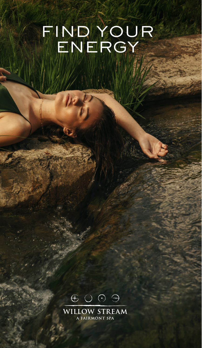# FIND YOUR ENERGY



WILLOW STREAM A FAIRMONT SPA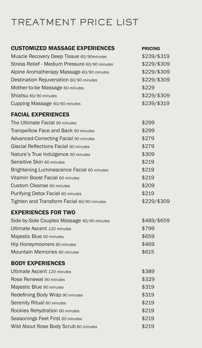# TREATMENT PRICE LIST

#### CUSTOMIZED MASSAGE EXPERIENCES PRICING

| Muscle Recovery Deep Tissue 60/90minutes      | \$239/\$319 |
|-----------------------------------------------|-------------|
|                                               |             |
| Stress Relief - Medium Pressure 60/90 minutes | \$229/\$309 |
| Alpine Aromatherapy Massage 60/90 minutes     | \$229/\$309 |
| Destination Rejuvenation 60/90 minutes        | \$229/\$309 |
| Mother-to-be Massage 60 minutes               | \$229       |
| Shiatsu 60/90 minutes                         | \$229/\$309 |
| Cupping Massage 60/90 minutes                 | \$239/\$319 |
| <b>FACIAL EXPERIENCES</b>                     |             |
| The Ultimate Facial 90 minutes                | \$299       |
| Trangwillow Face and Back 90 minutes          | \$299       |
| <b>Advanced-Correcting Facial 90 minutes</b>  | \$279       |
| Glacial Reflections Facial 90 minutes         | \$279       |
| Nature's True Indulgence 90 minutes           | \$309       |
| Sensitive Skin 60 minutes                     | \$219       |
| Brightening Luminescence Facial 60 minutes    | \$219       |
| Vitamin Boost Facial 60 minutes               | \$219       |
| Custom Cleanse 60 minutes                     | \$209       |
| Purifying Detox Facial 60 minutes             | \$219       |
| Tighten and Transform Facial 60/90 minutes    | \$229/\$309 |
| <b>EXPERIENCES FOR TWO</b>                    |             |
| Side-by-Side Couples Massage 60/90 minutes    | \$489/\$659 |
| Ultimate Ascent 120 minutes                   | \$799       |
| Majestic Blue 90 minutes                      | \$659       |
| Hip Honeymooners 60 minutes                   | \$469       |
| Mountain Memories 90 minutes                  | \$615       |
| <b>BODY EXPERIENCES</b>                       |             |
| Ultimate Ascent 120 minutes                   | \$389       |
| Rose Renewal 90 minutes                       | \$329       |
| Majestic Blue 90 minutes                      | \$319       |
| Redefining Body Wrap 90 minutes               | \$319       |
| Serenity Ritual 60 minutes                    | \$219       |

Rockies Rehydration 60 minutes **\$219** Seasonings Feet First 60 minutes **\$219** Wild About Rose Body Scrub 60 minutes \$219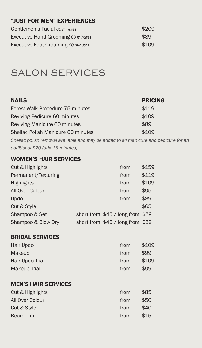#### "JUST FOR MEN" EXPERIENCES

| Gentlemen's Facial 60 minutes      | \$209 |
|------------------------------------|-------|
| Executive Hand Grooming 60 minutes | \$89  |
| Executive Foot Grooming 60 minutes | \$109 |

## SALON SERVICES

| <b>PRICING</b> |
|----------------|
| \$119          |
| \$109          |
| \$89           |
| \$109          |
|                |

*Shellac polish removal available and may be added to all manicure and pedicure for an additional \$20 (add 15 minutes)*

#### WOMEN'S HAIR SERVICES

| Cut & Highlights    | from                              | \$159 |
|---------------------|-----------------------------------|-------|
| Permanent/Texturing | from                              | \$119 |
| <b>Highlights</b>   | from                              | \$109 |
| All-Over Colour     | from                              | \$95  |
| Updo                | from                              | \$89  |
| Cut & Style         |                                   | \$65  |
| Shampoo & Set       | short from $$45/$ long from $$59$ |       |
| Shampoo & Blow Dry  | short from \$45 / long from \$59  |       |

#### BRIDAL SERVICES

| Hair Updo       | from | \$109 |
|-----------------|------|-------|
| Makeup          | from | \$99  |
| Hair Updo Trial | from | \$109 |
| Makeup Trial    | from | \$99  |

#### MEN'S HAIR SERVICES

| Cut & Highlights  | from | \$85 |
|-------------------|------|------|
| All Over Colour   | from | \$50 |
| Cut & Style       | from | \$40 |
| <b>Beard Trim</b> | from | \$15 |